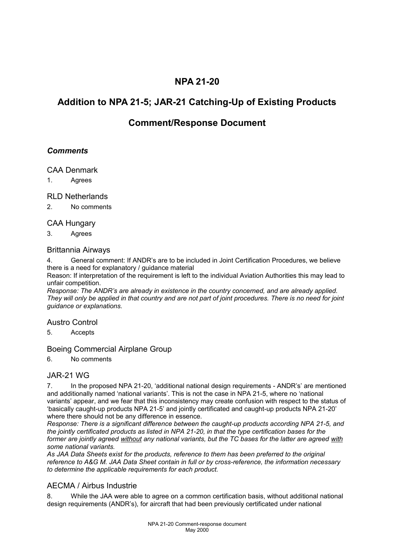## **NPA 21-20**

# **Addition to NPA 21-5; JAR-21 Catching-Up of Existing Products**

## **Comment/Response Document**

## *Comments*

#### CAA Denmark

1. Agrees

#### RLD Netherlands

2. No comments

#### CAA Hungary

3. Agrees

#### Brittannia Airways

4. General comment: If ANDR's are to be included in Joint Certification Procedures, we believe there is a need for explanatory / guidance material

Reason: If interpretation of the requirement is left to the individual Aviation Authorities this may lead to unfair competition.

*Response: The ANDR's are already in existence in the country concerned, and are already applied. They will only be applied in that country and are not part of joint procedures. There is no need for joint guidance or explanations.*

#### Austro Control

5. Accepts

#### Boeing Commercial Airplane Group

6. No comments

## JAR-21 WG

7. In the proposed NPA 21-20, 'additional national design requirements - ANDR's' are mentioned and additionally named 'national variants'. This is not the case in NPA 21-5, where no 'national variants' appear, and we fear that this inconsistency may create confusion with respect to the status of 'basically caught-up products NPA 21-5' and jointly certificated and caught-up products NPA 21-20' where there should not be any difference in essence.

*Response: There is a significant difference between the caught-up products according NPA 21-5, and the jointly certificated products as listed in NPA 21-20, in that the type certification bases for the former are jointly agreed without any national variants, but the TC bases for the latter are agreed with some national variants.* 

*As JAA Data Sheets exist for the products, reference to them has been preferred to the original reference to A&G M. JAA Data Sheet contain in full or by cross-reference, the information necessary to determine the applicable requirements for each product.*

## AECMA / Airbus Industrie

8. While the JAA were able to agree on a common certification basis, without additional national design requirements (ANDR's), for aircraft that had been previously certificated under national